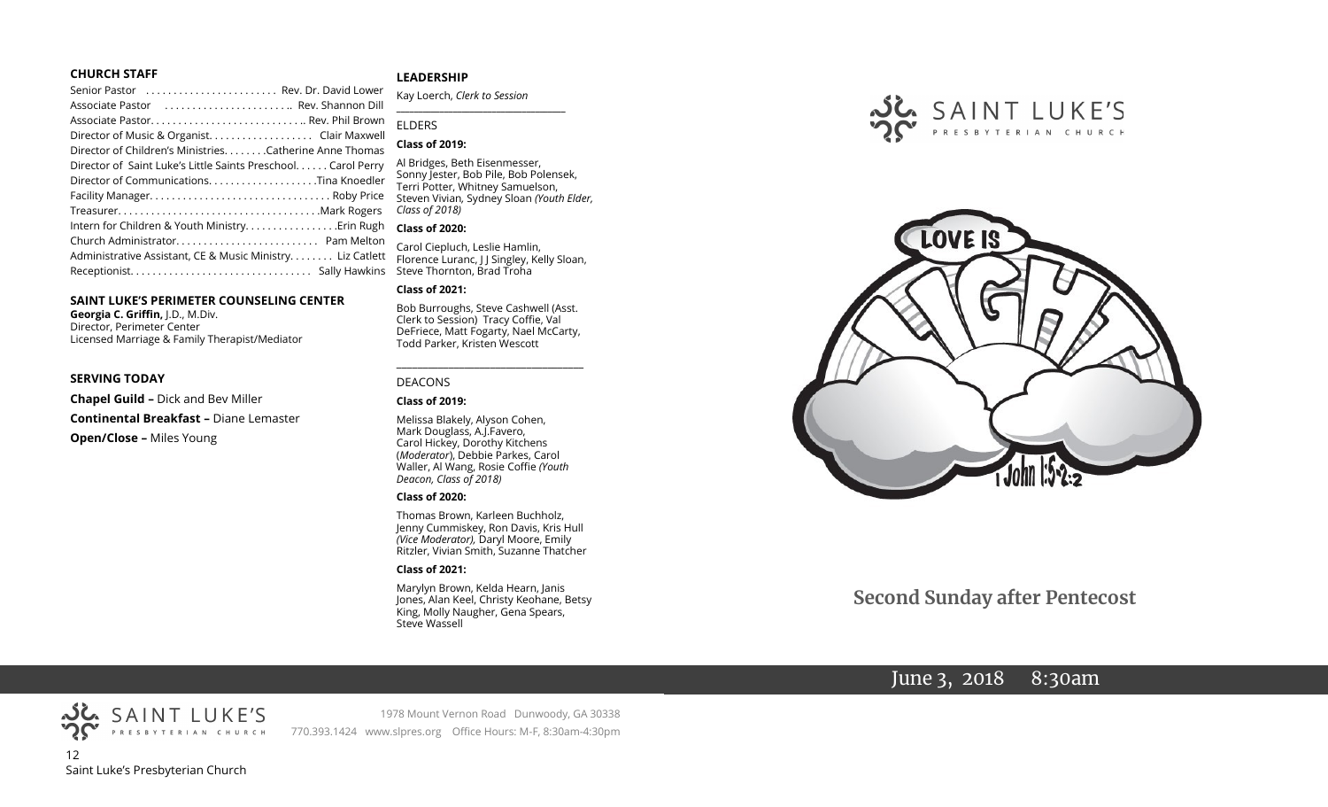#### **CHURCH STAFF**

| Senior Pastor  Rev. Dr. David Lower                           |  |
|---------------------------------------------------------------|--|
| Associate Pastor  Rev. Shannon Dill                           |  |
|                                                               |  |
| Director of Music & Organist. Clair Maxwell                   |  |
| Director of Children's Ministries. Catherine Anne Thomas      |  |
| Director of Saint Luke's Little Saints Preschool. Carol Perry |  |
|                                                               |  |
|                                                               |  |
|                                                               |  |
| Intern for Children & Youth Ministry Erin Rugh                |  |
|                                                               |  |
| Administrative Assistant, CE & Music Ministry Liz Catlett     |  |
|                                                               |  |
|                                                               |  |

#### **SAINT LUKE'S PERIMETER COUNSELING CENTER**

**Georgia C. Griffin,** J.D., M.Div. Director, Perimeter Center Licensed Marriage & Family Therapist/Mediator

#### **SERVING TODAY**

**Chapel Guild –** Dick and Bev Miller **Continental Breakfast –** Diane Lemaster **Open/Close –** Miles Young

#### **LEADERSHIP**

Kay Loerch, *Clerk to Session*  **\_\_\_\_\_\_\_\_\_\_\_\_\_\_\_\_\_\_\_\_\_\_\_\_\_\_\_\_\_\_\_\_\_\_\_\_\_\_\_**

#### ELDERS

#### **Class of 2019:**

Al Bridges, Beth Eisenmesser, Sonny Jester, Bob Pile, Bob Polensek, Terri Potter, Whitney Samuelson, Steven Vivian*,* Sydney Sloan *(Youth Elder, Class of 2018)*

#### **Class of 2020:**

Carol Ciepluch, Leslie Hamlin, Florence Luranc, J J Singley, Kelly Sloan, Steve Thornton, Brad Troha

#### **Class of 2021:**

Bob Burroughs, Steve Cashwell (Asst. Clerk to Session) Tracy Coffie, Val DeFriece, Matt Fogarty, Nael McCarty, Todd Parker, Kristen Wescott

\_\_\_\_\_\_\_\_\_\_\_\_\_\_\_\_\_\_\_\_\_\_\_\_\_\_\_\_\_\_\_\_\_\_\_\_

#### DEACONS

#### **Class of 2019:**

Melissa Blakely, Alyson Cohen, Mark Douglass, A.J.Favero, Carol Hickey, Dorothy Kitchens (*Moderator*), Debbie Parkes, Carol Waller, Al Wang, Rosie Coffie *(Youth Deacon, Class of 2018)* 

#### **Class of 2020:**

Thomas Brown, Karleen Buchholz, Jenny Cummiskey, Ron Davis, Kris Hull *(Vice Moderator),* Daryl Moore, Emily Ritzler, Vivian Smith, Suzanne Thatcher

#### **Class of 2021:**

Marylyn Brown, Kelda Hearn, Janis Jones, Alan Keel, Christy Keohane, Betsy King, Molly Naugher, Gena Spears, Steve Wassell





# **Second Sunday after Pentecost**

# June 3, 2018 8:30am



1978 Mount Vernon Road Dunwoody, GA 30338 770.393.1424 www.slpres.org Office Hours: M-F, 8:30am-4:30pm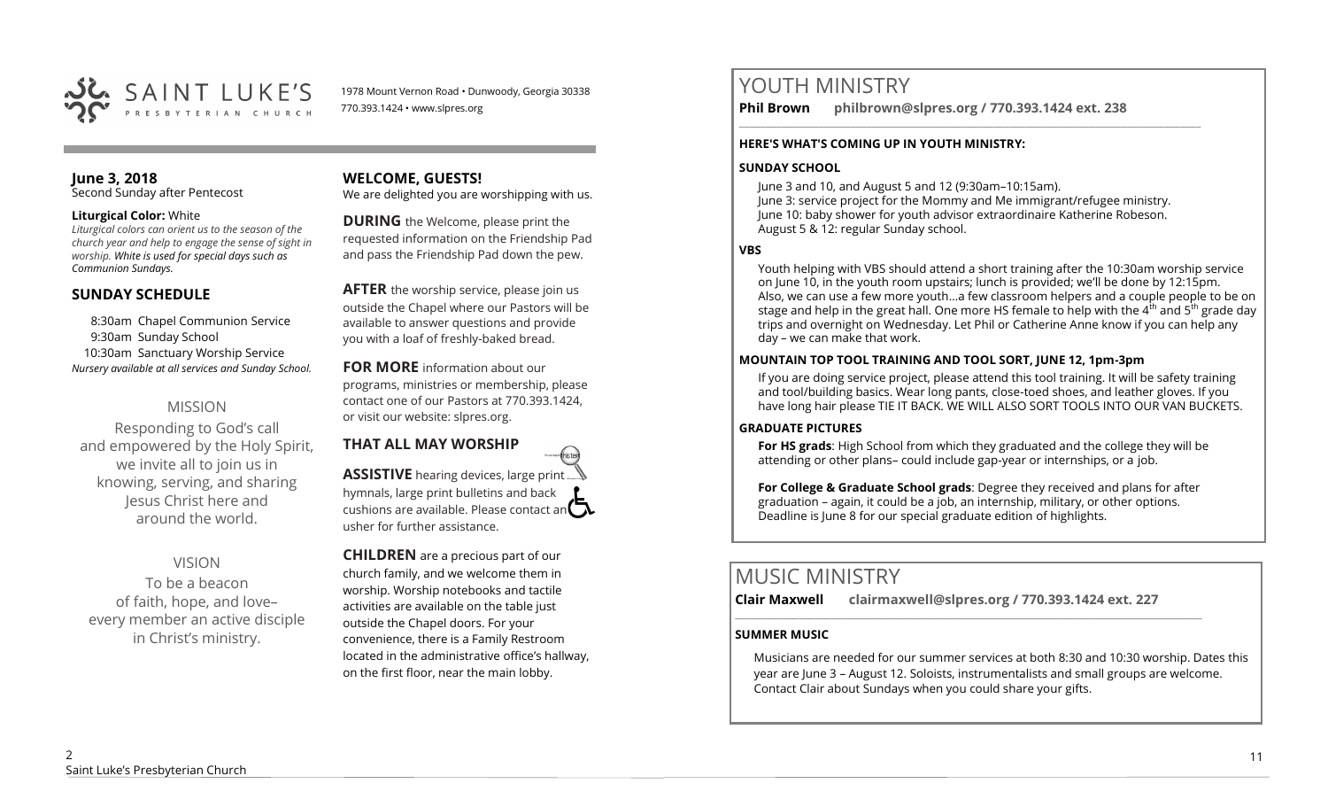

1978 Mount Vernon Road • Dunwoody, Georgia 30338 770.393.1424 • www.slpres.org

#### **June 3, 2018**  Second Sunday after Pentecost

#### **Liturgical Color:** White

*Liturgical colors can orient us to the season of the church year and help to engage the sense of sight in worship. White is used for special days such as Communion Sundays.* 

## **SUNDAY SCHEDULE**

8:30am Chapel Communion Service 9:30am Sunday School 10:30am Sanctuary Worship Service *Nursery available at all services and Sunday School.* 

# MISSION

Responding to God's call and empowered by the Holy Spirit, we invite all to join us in knowing, serving, and sharing Jesus Christ here and around the world.

# VISION

To be a beacon of faith, hope, and love– every member an active disciple in Christ's ministry.

## **WELCOME, GUESTS!**

We are delighted you are worshipping with us.

**DURING** the Welcome, please print the requested information on the Friendship Pad and pass the Friendship Pad down the pew.

**AFTER** the worship service, please join us outside the Chapel where our Pastors will be available to answer questions and provide you with a loaf of freshly-baked bread.

**FOR MORE** information about our programs, ministries or membership, please contact one of our Pastors at 770.393.1424, or visit our website: slpres.org.

# **THAT ALL MAY WORSHIP**

**ASSISTIVE** hearing devices, large print hymnals, large print bulletins and back cushions are available. Please contact an  $\Box$ usher for further assistance.

thistex

**CHILDREN** are a precious part of our church family, and we welcome them in worship. Worship notebooks and tactile activities are available on the table just outside the Chapel doors. For your convenience, there is a Family Restroom located in the administrative office's hallway, on the first floor, near the main lobby.

# YOUTH MINISTRY

**Phil Brown philbrown@slpres.org / 770.393.1424 ext. 238** 

#### **HERE'S WHAT'S COMING UP IN YOUTH MINISTRY:**

#### **SUNDAY SCHOOL**

June 3 and 10, and August 5 and 12 (9:30am–10:15am). June 3: service project for the Mommy and Me immigrant/refugee ministry. June 10: baby shower for youth advisor extraordinaire Katherine Robeson. August 5 & 12: regular Sunday school.

\_\_\_\_\_\_\_\_\_\_\_\_\_\_\_\_\_\_\_\_\_\_\_\_\_\_\_\_\_\_\_\_\_\_\_\_\_\_\_\_\_\_\_\_\_\_\_\_\_\_\_\_\_\_\_\_\_\_\_\_\_\_\_\_\_\_\_\_\_\_\_\_\_\_\_\_\_\_\_\_\_\_\_\_\_\_\_

### **VBS**

Youth helping with VBS should attend a short training after the 10:30am worship service on June 10, in the youth room upstairs; lunch is provided; we'll be done by 12:15pm. Also, we can use a few more youth…a few classroom helpers and a couple people to be on stage and help in the great hall. One more HS female to help with the  $4^{th}$  and  $5^{th}$  grade day trips and overnight on Wednesday. Let Phil or Catherine Anne know if you can help any day – we can make that work.

#### **MOUNTAIN TOP TOOL TRAINING AND TOOL SORT, JUNE 12, 1pm-3pm**

If you are doing service project, please attend this tool training. It will be safety training and tool/building basics. Wear long pants, close-toed shoes, and leather gloves. If you have long hair please TIE IT BACK. WE WILL ALSO SORT TOOLS INTO OUR VAN BUCKETS.

#### **GRADUATE PICTURES**

**For HS grads**: High School from which they graduated and the college they will be attending or other plans– could include gap-year or internships, or a job.

**For College & Graduate School grads**: Degree they received and plans for after graduation – again, it could be a job, an internship, military, or other options. Deadline is June 8 for our special graduate edition of highlights.

# MUSIC MINISTRY

**Clair Maxwell clairmaxwell@slpres.org / 770.393.1424 ext. 227** 

\_\_\_\_\_\_\_\_\_\_\_\_\_\_\_\_\_\_\_\_\_\_\_\_\_\_\_\_\_\_\_\_\_\_\_\_\_\_\_\_\_\_\_\_\_\_\_\_\_\_\_\_\_\_\_\_\_\_\_\_\_\_\_\_\_\_\_\_\_\_\_\_\_\_\_\_\_\_\_\_\_\_\_\_\_\_\_\_

# **SUMMER MUSIC**

Musicians are needed for our summer services at both 8:30 and 10:30 worship. Dates this year are June 3 – August 12. Soloists, instrumentalists and small groups are welcome. Contact Clair about Sundays when you could share your gifts.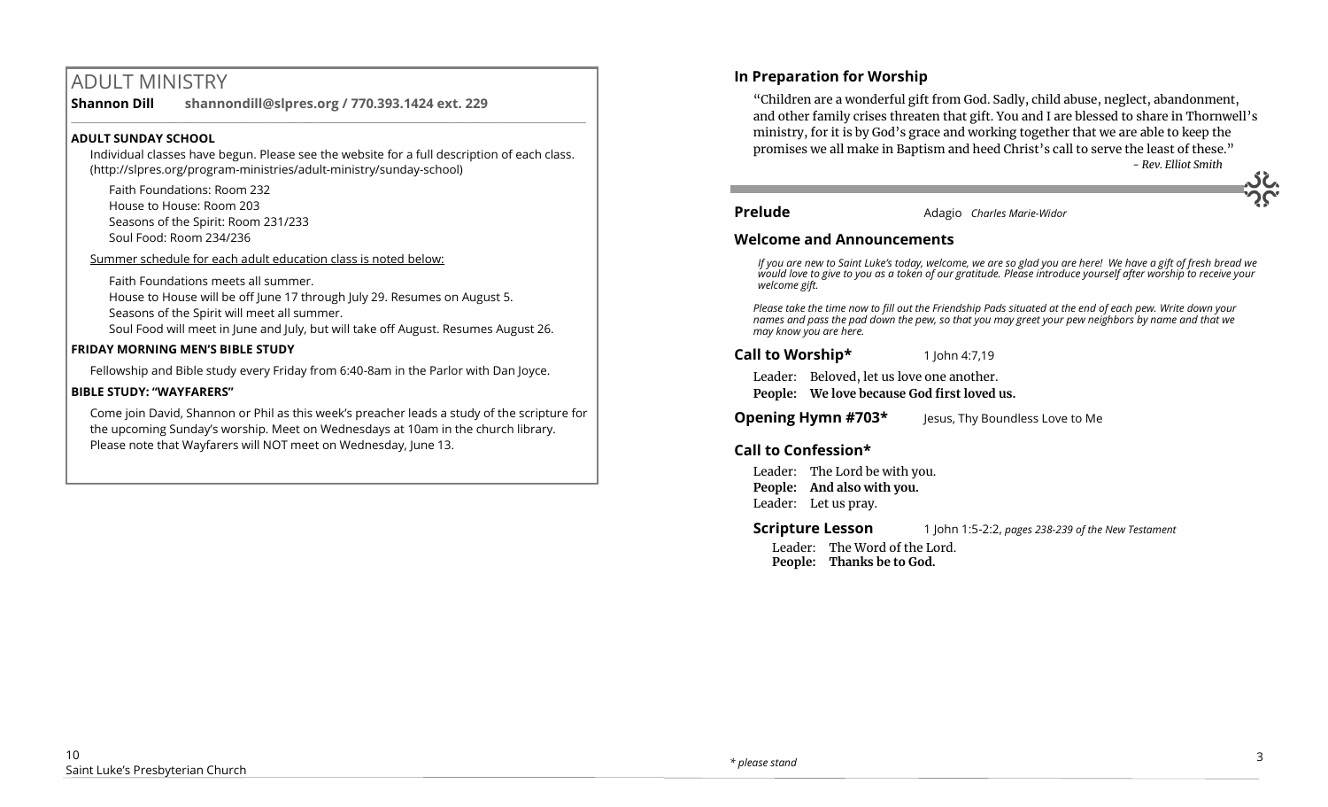# ADULT MINISTRY

**Shannon Dill shannondill@slpres.org / 770.393.1424 ext. 229** 

## **ADULT SUNDAY SCHOOL**

Individual classes have begun. Please see the website for a full description of each class. (http://slpres.org/program-ministries/adult-ministry/sunday-school)

 $\_$  ,  $\_$  ,  $\_$  ,  $\_$  ,  $\_$  ,  $\_$  ,  $\_$  ,  $\_$  ,  $\_$  ,  $\_$  ,  $\_$  ,  $\_$  ,  $\_$  ,  $\_$  ,  $\_$  ,  $\_$  ,  $\_$  ,  $\_$  ,  $\_$ 

Faith Foundations: Room 232 House to House: Room 203 Seasons of the Spirit: Room 231/233 Soul Food: Room 234/236

Summer schedule for each adult education class is noted below:

Faith Foundations meets all summer. House to House will be off June 17 through July 29. Resumes on August 5. Seasons of the Spirit will meet all summer.

Soul Food will meet in June and July, but will take off August. Resumes August 26.

#### **FRIDAY MORNING MEN'S BIBLE STUDY**

Fellowship and Bible study every Friday from 6:40-8am in the Parlor with Dan Joyce.

#### **BIBLE STUDY: "WAYFARERS"**

Come join David, Shannon or Phil as this week's preacher leads a study of the scripture for the upcoming Sunday's worship. Meet on Wednesdays at 10am in the church library. Please note that Wayfarers will NOT meet on Wednesday, June 13.

# **In Preparation for Worship**

"Children are a wonderful gift from God. Sadly, child abuse, neglect, abandonment, and other family crises threaten that gift. You and I are blessed to share in Thornwell's ministry, for it is by God's grace and working together that we are able to keep the promises we all make in Baptism and heed Christ's call to serve the least of these."

*- Rev. Elliot Smith*

**Prelude** Adagio *Charles Marie-Widor*

## **Welcome and Announcements**

*If you are new to Saint Luke's today, welcome, we are so glad you are here! We have a gift of fresh bread we would love to give to you as a token of our gratitude. Please introduce yourself after worship to receive your welcome gift.*

*Please take the time now to fill out the Friendship Pads situated at the end of each pew. Write down your names and pass the pad down the pew, so that you may greet your pew neighbors by name and that we may know you are here.*

**Call to Worship\*** 1 John 4:7,19

Leader: Beloved, let us love one another. **People: We love because God first loved us.**

**Opening Hymn #703\*** Jesus, Thy Boundless Love to Me

# **Call to Confession\***

Leader: The Lord be with you. **People: And also with you.** Leader: Let us pray.

**Scripture Lesson** 1 John 1:5-2:2, *pages 238-239 of the New Testament* Leader: The Word of the Lord. **People: Thanks be to God.**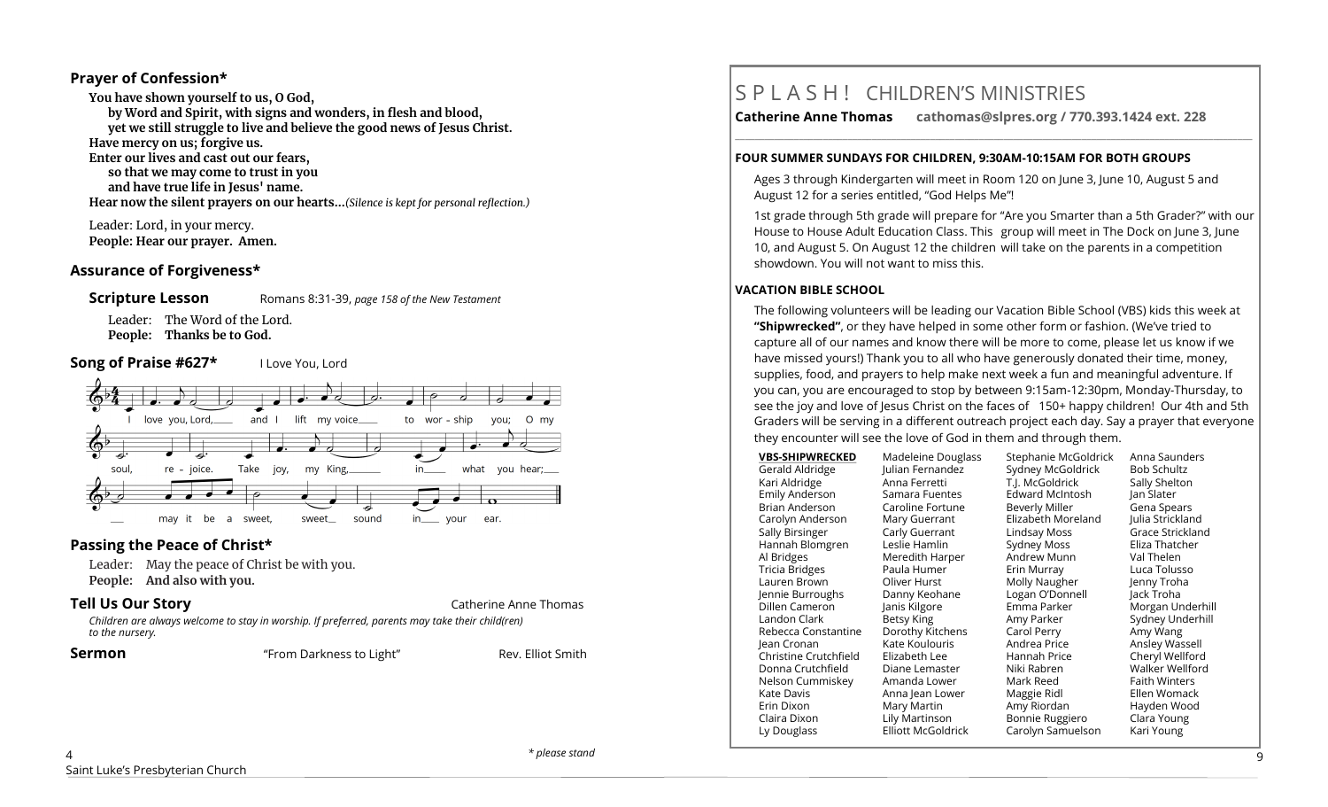## **Prayer of Confession\***

**You have shown yourself to us, O God, by Word and Spirit, with signs and wonders, in flesh and blood, yet we still struggle to live and believe the good news of Jesus Christ. Have mercy on us; forgive us. Enter our lives and cast out our fears, so that we may come to trust in you and have true life in Jesus' name. Hear now the silent prayers on our hearts...***(Silence is kept for personal reflection.)*

Leader: Lord, in your mercy. **People: Hear our prayer. Amen.**

#### **Assurance of Forgiveness\***



Leader: The Word of the Lord. **People: Thanks be to God.**

#### **Song of Praise #627\*** I Love You, Lord



## **Passing the Peace of Christ\***

Leader: May the peace of Christ be with you. **People: And also with you.** 

#### **Tell Us Our Story Catherine Anne Thomas**

*Children are always welcome to stay in worship. If preferred, parents may take their child(ren) to the nursery.*

**Sermon** The **Example 2018 Sermon** The *Compact* Elliot Smith **Rev.** Elliot Smith

# S P L A S H ! CHILDREN'S MINISTRIES

**Catherine Anne Thomas cathomas@slpres.org / 770.393.1424 ext. 228** 

#### **FOUR SUMMER SUNDAYS FOR CHILDREN, 9:30AM-10:15AM FOR BOTH GROUPS**

Ages 3 through Kindergarten will meet in Room 120 on June 3, June 10, August 5 and August 12 for a series entitled, "God Helps Me"!

**\_\_\_\_\_\_\_\_\_\_\_\_\_\_\_\_\_\_\_\_\_\_\_\_\_\_\_\_\_\_\_\_\_\_\_\_\_\_\_\_\_\_\_\_\_\_\_\_\_\_\_\_\_\_\_\_\_\_\_\_\_\_\_\_\_\_\_\_\_\_\_\_\_\_\_\_\_\_\_\_\_\_\_\_\_\_\_\_\_\_\_\_\_\_\_\_\_\_\_\_\_\_\_\_\_\_** 

1st grade through 5th grade will prepare for "Are you Smarter than a 5th Grader?" with our House to House Adult Education Class. This group will meet in The Dock on June 3, June 10, and August 5. On August 12 the children will take on the parents in a competition showdown. You will not want to miss this.

#### **VACATION BIBLE SCHOOL**

The following volunteers will be leading our Vacation Bible School (VBS) kids this week at **"Shipwrecked"**, or they have helped in some other form or fashion. (We've tried to capture all of our names and know there will be more to come, please let us know if we have missed yours!) Thank you to all who have generously donated their time, money, supplies, food, and prayers to help make next week a fun and meaningful adventure. If you can, you are encouraged to stop by between 9:15am-12:30pm, Monday-Thursday, to see the joy and love of Jesus Christ on the faces of 150+ happy children! Our 4th and 5th Graders will be serving in a different outreach project each day. Say a prayer that everyone they encounter will see the love of God in them and through them.

| <b>VBS-SHIPWRECKED</b> | Madeleine Douglass        | Stephanie McGoldrick   | Anna Saunders        |
|------------------------|---------------------------|------------------------|----------------------|
| Gerald Aldridge        | Julian Fernandez          | Sydney McGoldrick      | <b>Bob Schultz</b>   |
| Kari Aldridge          | Anna Ferretti             | T.J. McGoldrick        | Sally Shelton        |
| Emily Anderson         | Samara Fuentes            | <b>Edward McIntosh</b> | Jan Slater           |
| Brian Anderson         | Caroline Fortune          | Beverly Miller         | Gena Spears          |
| Carolyn Anderson       | Mary Guerrant             | Elizabeth Moreland     | Julia Strickland     |
| Sally Birsinger        | Carly Guerrant            | Lindsay Moss           | Grace Strickland     |
| Hannah Blomgren        | Leslie Hamlin             | Sydney Moss            | Eliza Thatcher       |
| Al Bridges             | Meredith Harper           | Andrew Munn            | Val Thelen           |
| Tricia Bridges         | Paula Humer               | Erin Murray            | Luca Tolusso         |
| Lauren Brown           | Oliver Hurst              | Molly Naugher          | Jenny Troha          |
| Jennie Burroughs       | Danny Keohane             | Logan O'Donnell        | Jack Troha           |
| Dillen Cameron         | Janis Kilgore             | Emma Parker            | Morgan Underhill     |
| Landon Clark           | Betsy King                | Amy Parker             | Sydney Underhill     |
| Rebecca Constantine    | Dorothy Kitchens          | Carol Perry            | Amy Wang             |
| lean Cronan            | Kate Koulouris            | Andrea Price           | Ansley Wassell       |
| Christine Crutchfield  | Elizabeth Lee             | Hannah Price           | Cheryl Wellford      |
| Donna Crutchfield      | Diane Lemaster            | Niki Rabren            | Walker Wellford      |
| Nelson Cummiskey       | Amanda Lower              | Mark Reed              | <b>Faith Winters</b> |
| Kate Davis             | Anna Jean Lower           | Maggie Ridl            | Ellen Womack         |
| Erin Dixon             | Mary Martin               | Amy Riordan            | Hayden Wood          |
| Claira Dixon           | Lily Martinson            | Bonnie Ruggiero        | Clara Young          |
| Ly Douglass            | <b>Elliott McGoldrick</b> | Carolyn Samuelson      | Kari Young           |
|                        |                           |                        |                      |

 $\lambda$ Saint Luke's Presbyterian Church

*\* please stand* 9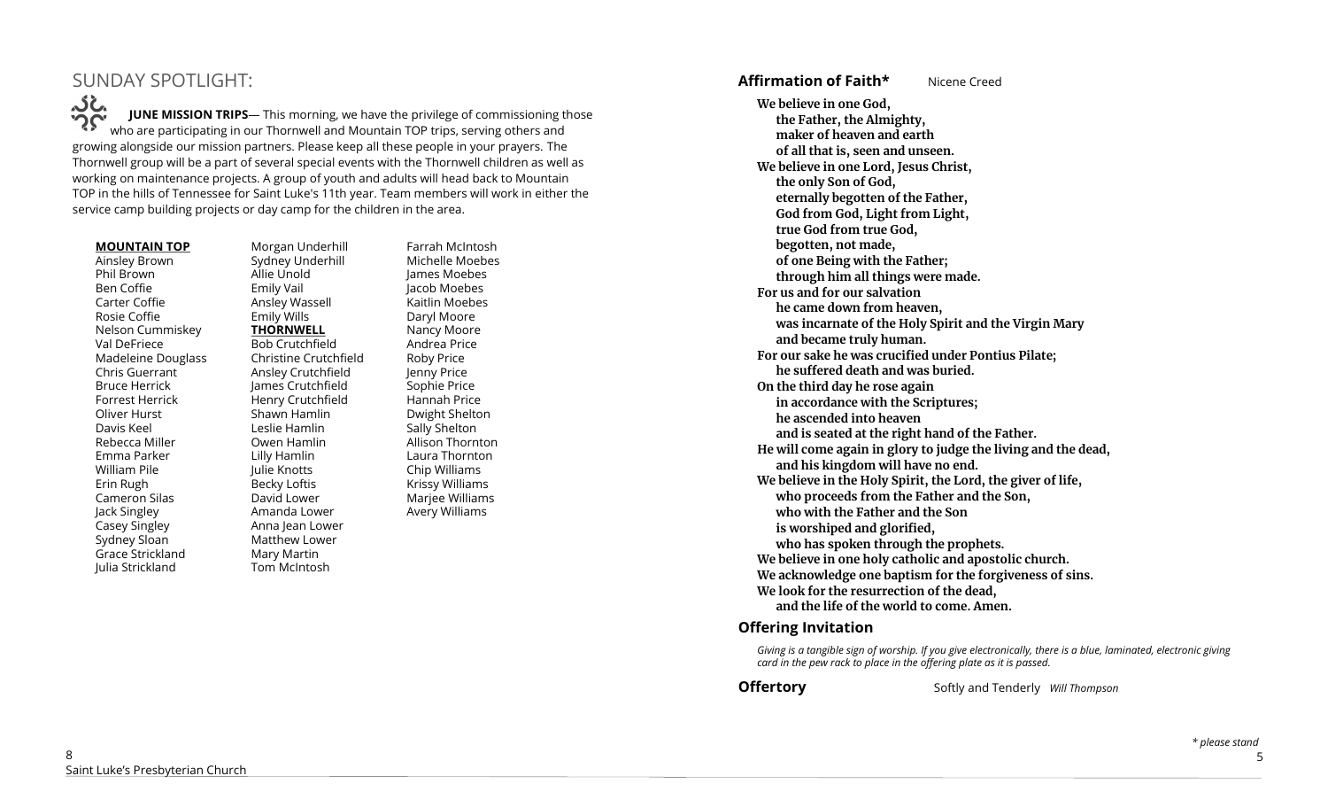# SUNDAY SPOTLIGHT:

**JUNE MISSION TRIPS**— This morning, we have the privilege of commissioning those UNE MISSION TRIPS— This morning, we have the privilege of commissioning to your Divid are participating in our Thornwell and Mountain TOP trips, serving others and growing alongside our mission partners. Please keep all these people in your prayers. The Thornwell group will be a part of several special events with the Thornwell children as well as working on maintenance projects. A group of youth and adults will head back to Mountain TOP in the hills of Tennessee for Saint Luke's 11th year. Team members will work in either the service camp building projects or day camp for the children in the area.

#### **MOUNTAIN TOP**

Ainsley Brown Phil Brown Ben Coffie Carter Coffie Rosie Coffie Nelson Cummiskey Val DeFriece Madeleine Douglass Chris Guerrant Bruce Herrick Forrest Herrick Oliver Hurst Davis Keel Rebecca Miller Emma Parker William Pile Erin Rugh Cameron Silas Jack Singley Casey Singley Sydney Sloan Grace Strickland Julia Strickland

Morgan Underhill Sydney Underhill Allie Unold Emily Vail Ansley Wassell Emily Wills **THORNWELL** Bob Crutchfield Christine Crutchfield Ansley Crutchfield James Crutchfield Henry Crutchfield Shawn Hamlin Leslie Hamlin Owen Hamlin Lilly Hamlin Julie Knotts Becky Loftis David Lower Amanda Lower Anna Jean Lower Matthew Lower Mary Martin Tom McIntosh

Farrah McIntosh Michelle Moebes James Moebes Jacob Moebes Kaitlin Moebes Daryl Moore Nancy Moore Andrea Price Roby Price Jenny Price Sophie Price Hannah Price Dwight Shelton Sally Shelton Allison Thornton Laura Thornton Chip Williams Krissy Williams Marjee Williams Avery Williams

# **Affirmation of Faith\*** Nicene Creed

**We believe in one God, the Father, the Almighty, maker of heaven and earth of all that is, seen and unseen. We believe in one Lord, Jesus Christ, the only Son of God, eternally begotten of the Father, God from God, Light from Light, true God from true God, begotten, not made, of one Being with the Father; through him all things were made. For us and for our salvation he came down from heaven, was incarnate of the Holy Spirit and the Virgin Mary and became truly human. For our sake he was crucified under Pontius Pilate; he suffered death and was buried. On the third day he rose again in accordance with the Scriptures; he ascended into heaven and is seated at the right hand of the Father. He will come again in glory to judge the living and the dead, and his kingdom will have no end. We believe in the Holy Spirit, the Lord, the giver of life, who proceeds from the Father and the Son, who with the Father and the Son is worshiped and glorified, who has spoken through the prophets. We believe in one holy catholic and apostolic church. We acknowledge one baptism for the forgiveness of sins. We look for the resurrection of the dead, and the life of the world to come. Amen.**

#### **Offering Invitation**

*Giving is a tangible sign of worship. If you give electronically, there is a blue, laminated, electronic giving card in the pew rack to place in the offering plate as it is passed.*

**Offertory** Softly and Tenderly *Will Thompson*